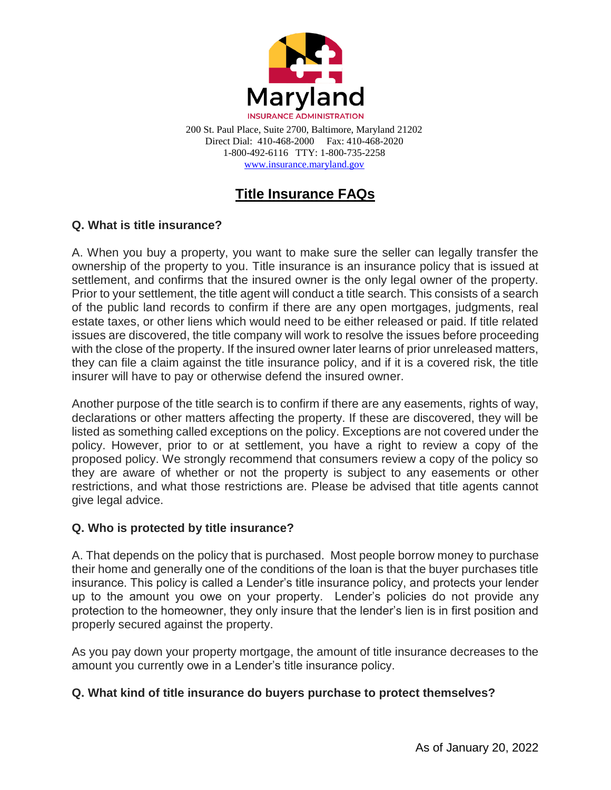

200 St. Paul Place, Suite 2700, Baltimore, Maryland 21202 Direct Dial: 410-468-2000 Fax: 410-468-2020 1-800-492-6116 TTY: 1-800-735-2258 [www.insurance.maryland.gov](http://www.insurance.maryland.gov/)

# **Title Insurance FAQs**

## **Q. What is title insurance?**

A. When you buy a property, you want to make sure the seller can legally transfer the ownership of the property to you. Title insurance is an insurance policy that is issued at settlement, and confirms that the insured owner is the only legal owner of the property. Prior to your settlement, the title agent will conduct a title search. This consists of a search of the public land records to confirm if there are any open mortgages, judgments, real estate taxes, or other liens which would need to be either released or paid. If title related issues are discovered, the title company will work to resolve the issues before proceeding with the close of the property. If the insured owner later learns of prior unreleased matters, they can file a claim against the title insurance policy, and if it is a covered risk, the title insurer will have to pay or otherwise defend the insured owner.

Another purpose of the title search is to confirm if there are any easements, rights of way, declarations or other matters affecting the property. If these are discovered, they will be listed as something called exceptions on the policy. Exceptions are not covered under the policy. However, prior to or at settlement, you have a right to review a copy of the proposed policy. We strongly recommend that consumers review a copy of the policy so they are aware of whether or not the property is subject to any easements or other restrictions, and what those restrictions are. Please be advised that title agents cannot give legal advice.

#### **Q. Who is protected by title insurance?**

A. That depends on the policy that is purchased. Most people borrow money to purchase their home and generally one of the conditions of the loan is that the buyer purchases title insurance. This policy is called a Lender's title insurance policy, and protects your lender up to the amount you owe on your property. Lender's policies do not provide any protection to the homeowner, they only insure that the lender's lien is in first position and properly secured against the property.

As you pay down your property mortgage, the amount of title insurance decreases to the amount you currently owe in a Lender's title insurance policy.

#### **Q. What kind of title insurance do buyers purchase to protect themselves?**